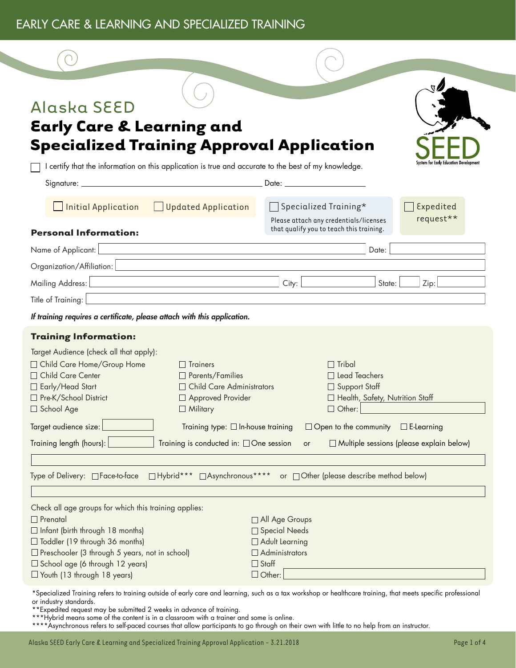#### EARLY CARE & LEARNING AND SPECIALIZED TRAINING



### Alaska SEED

## **Early Care & Learning and Specialized Training Approval Application**

I certify that the information on this application is true and accurate to the best of my knowledge.

| <b>Initial Application</b><br><b>Updated Application</b><br>$\mathbb{R}^n$                                                                                                                                                                              |                                              | $\Box$ Specialized Training*<br>Please attach any credentials/licenses                                         | Expedited<br>request**                          |
|---------------------------------------------------------------------------------------------------------------------------------------------------------------------------------------------------------------------------------------------------------|----------------------------------------------|----------------------------------------------------------------------------------------------------------------|-------------------------------------------------|
| <b>Personal Information:</b>                                                                                                                                                                                                                            |                                              | that qualify you to teach this training.                                                                       |                                                 |
| Name of Applicant: [                                                                                                                                                                                                                                    |                                              | Date:                                                                                                          |                                                 |
| Organization/Affiliation:                                                                                                                                                                                                                               |                                              |                                                                                                                |                                                 |
| Mailing Address:                                                                                                                                                                                                                                        | City:                                        | State:                                                                                                         | Zip:                                            |
| Title of Training:                                                                                                                                                                                                                                      |                                              |                                                                                                                |                                                 |
| If training requires a certificate, please attach with this application.                                                                                                                                                                                |                                              |                                                                                                                |                                                 |
| <b>Training Information:</b>                                                                                                                                                                                                                            |                                              |                                                                                                                |                                                 |
| Target Audience (check all that apply):<br>□ Child Care Home/Group Home<br>$\Box$ Trainers<br>□ Child Care Center<br>$\Box$ Parents/Families<br>□ Early/Head Start<br>□ Pre-K/School District<br>□ Approved Provider<br>□ School Age<br>$\Box$ Military | □ Child Care Administrators                  | $\Box$ Tribal<br>$\Box$ Lead Teachers<br>□ Support Staff<br>□ Health, Safety, Nutrition Staff<br>$\Box$ Other: |                                                 |
| Target audience size:                                                                                                                                                                                                                                   | Training type: $\Box$ In-house training      | $\Box$ Open to the community $\Box$ E-Learning                                                                 |                                                 |
| Training length (hours):                                                                                                                                                                                                                                | Training is conducted in: $\Box$ One session | or                                                                                                             | $\Box$ Multiple sessions (please explain below) |
|                                                                                                                                                                                                                                                         |                                              |                                                                                                                |                                                 |
| □ Hybrid*** □ Asynchronous****<br>Type of Delivery: □ Face-to-face<br>or □ Other (please describe method below)                                                                                                                                         |                                              |                                                                                                                |                                                 |
|                                                                                                                                                                                                                                                         |                                              |                                                                                                                |                                                 |

| Check all age groups for which this training applies: |                       |
|-------------------------------------------------------|-----------------------|
| $\Box$ Prenatal                                       | $\Box$ All Age Groups |
| $\Box$ Infant (birth through 18 months)               | □ Special Needs       |
| $\Box$ Toddler (19 through 36 months)                 | $\Box$ Adult Learning |
| $\Box$ Preschooler (3 through 5 years, not in school) | $\Box$ Administrators |
| $\Box$ School age (6 through 12 years)                | $\Box$ Staff          |
| $\Box$ Youth (13 through 18 years)                    | $\Box$ Other:         |

\*Specialized Training refers to training outside of early care and learning, such as a tax workshop or healthcare training, that meets specific professional or industry standards.

\*\*Expedited request may be submitted 2 weeks in advance of training.

\*\*\*\*Asynchronous refers to self-paced courses that allow participants to go through on their own with little to no help from an instructor.

<sup>\*\*\*</sup>Hybrid means some of the content is in a classroom with a trainer and some is online.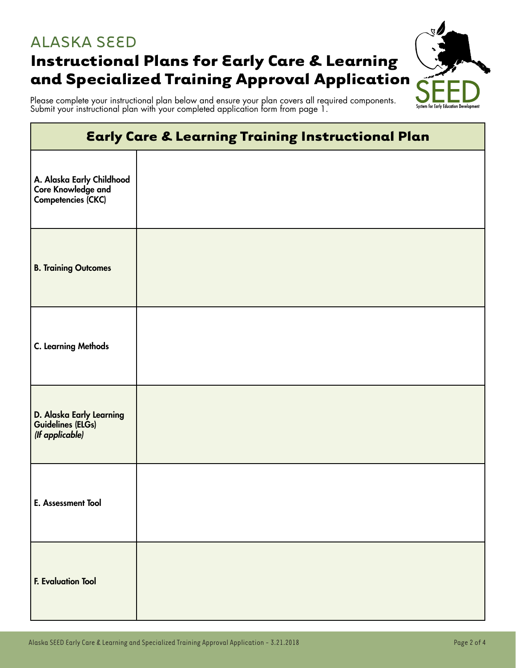#### ALASKA SEED

# **Instructional Plans for Early Care & Learning and Specialized Training Approval Application**



Please complete your instructional plan below and ensure your plan covers all required components. Submit your instructional plan with your completed application form from page 1.

| <b>Early Care &amp; Learning Training Instructional Plan</b>          |  |
|-----------------------------------------------------------------------|--|
| A. Alaska Early Childhood<br>Core Knowledge and<br>Competencies (CKC) |  |
| <b>B. Training Outcomes</b>                                           |  |
| <b>C. Learning Methods</b>                                            |  |
| D. Alaska Early Learning<br>Guidelines (ELGs)<br>(If applicable)      |  |
| E. Assessment Tool                                                    |  |
| <b>F. Evaluation Tool</b>                                             |  |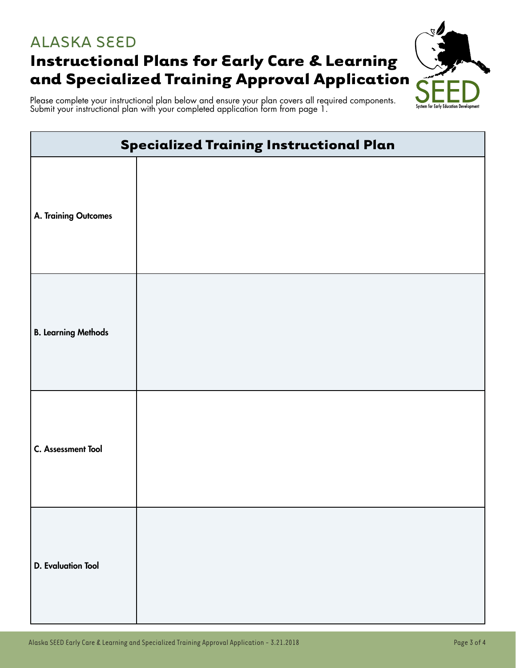### ALASKA SEED **Instructional Plans for Early Care & Learning**



Please complete your instructional plan below and ensure your plan covers all required components. Submit your instructional plan with your completed application form from page 1.

| <b>Specialized Training Instructional Plan</b> |  |
|------------------------------------------------|--|
| <b>A. Training Outcomes</b>                    |  |
| <b>B. Learning Methods</b>                     |  |
| C. Assessment Tool                             |  |
| <b>D.</b> Evaluation Tool                      |  |